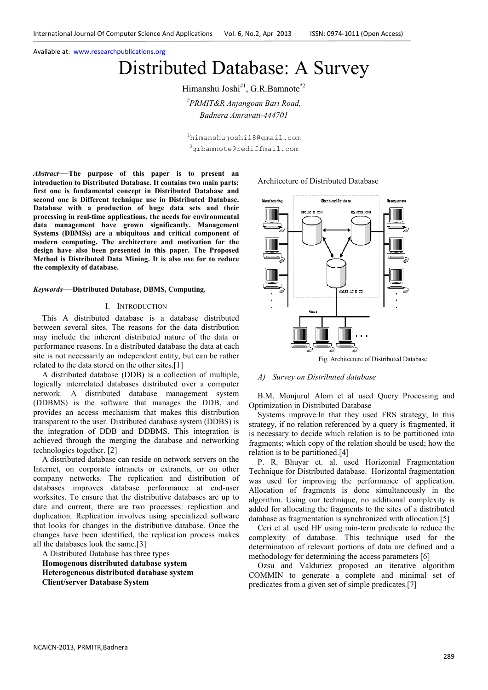Available at: www.researchpublications.org

# Distributed Database: A Survey

Himanshu Joshi $#^1$ , G.R.Bamnote<sup>\*2</sup>

*#PRMIT&R Anjangoan Bari Road, Badnera Amravati-444701* 

<sup>1</sup>himanshujoshi18@gmail.com <sup>3</sup>grbamnote@rediffmail.com

*Abstract*—**The purpose of this paper is to present an introduction to Distributed Database. It contains two main parts: first one is fundamental concept in Distributed Database and second one is Different technique use in Distributed Database. Database with a production of huge data sets and their processing in real-time applications, the needs for environmental data management have grown significantly. Management Systems (DBMSs) are a ubiquitous and critical component of modern computing. The architecture and motivation for the design have also been presented in this paper. The Proposed Method is Distributed Data Mining. It is also use for to reduce the complexity of database.**

*Keywords*—**Distributed Database, DBMS, Computing.**

#### I. INTRODUCTION

This A distributed database is a database distributed between several sites. The reasons for the data distribution may include the inherent distributed nature of the data or performance reasons. In a distributed database the data at each site is not necessarily an independent entity, but can be rather related to the data stored on the other sites.[1]

A distributed database (DDB) is a collection of multiple, logically interrelated databases distributed over a computer network. A distributed database management system (DDBMS) is the software that manages the DDB, and provides an access mechanism that makes this distribution transparent to the user. Distributed database system (DDBS) is the integration of DDB and DDBMS. This integration is achieved through the merging the database and networking technologies together. [2]

A distributed database can reside on network servers on the Internet, on corporate intranets or extranets, or on other company networks. The replication and distribution of databases improves database performance at end-user worksites. To ensure that the distributive databases are up to date and current, there are two processes: replication and duplication. Replication involves using specialized software that looks for changes in the distributive database. Once the changes have been identified, the replication process makes all the databases look the same.[3]

A Distributed Database has three types **Homogenous distributed database system Heterogeneous distributed database system Client/server Database System**

Architecture of Distributed Database



#### Fig. Architecture of Distributed Database

### *A) Survey on Distributed database*

B.M. Monjurul Alom et al used Query Processing and Optimization in Distributed Database

Systems improve.In that they used FRS strategy, In this strategy, if no relation referenced by a query is fragmented, it is necessary to decide which relation is to be partitioned into fragments; which copy of the relation should be used; how the relation is to be partitioned.[4]

P. R. Bhuyar et. al. used Horizontal Fragmentation Technique for Distributed database. Horizontal fragmentation was used for improving the performance of application. Allocation of fragments is done simultaneously in the algorithm. Using our technique, no additional complexity is added for allocating the fragments to the sites of a distributed database as fragmentation is synchronized with allocation.[5]

Ceri et al. used HF using min-term predicate to reduce the complexity of database. This technique used for the determination of relevant portions of data are defined and a methodology for determining the access parameters [6]

Ozsu and Valduriez proposed an iterative algorithm COMMIN to generate a complete and minimal set of predicates from a given set of simple predicates.[7]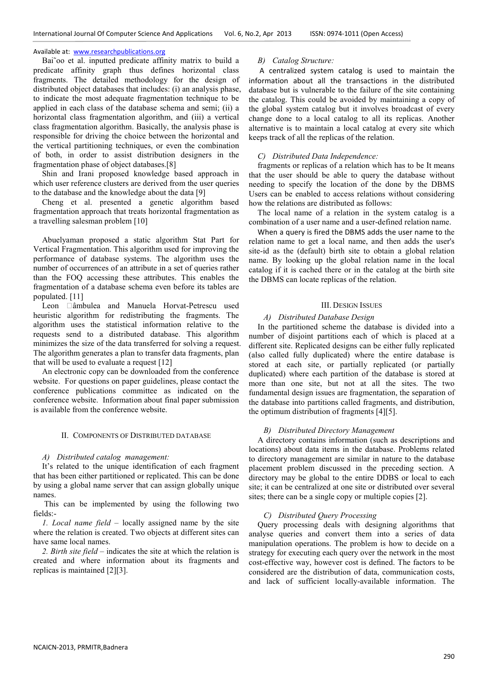## Available at: www.researchpublications.org

Bai˜oo et al. inputted predicate affinity matrix to build a predicate affinity graph thus defines horizontal class fragments. The detailed methodology for the design of distributed object databases that includes: (i) an analysis phase, to indicate the most adequate fragmentation technique to be applied in each class of the database schema and semi; (ii) a horizontal class fragmentation algorithm, and (iii) a vertical class fragmentation algorithm. Basically, the analysis phase is responsible for driving the choice between the horizontal and the vertical partitioning techniques, or even the combination of both, in order to assist distribution designers in the fragmentation phase of object databases.[8]

Shin and Irani proposed knowledge based approach in which user reference clusters are derived from the user queries to the database and the knowledge about the data [9]

Cheng et al. presented a genetic algorithm based fragmentation approach that treats horizontal fragmentation as a travelling salesman problem [10]

Abuelyaman proposed a static algorithm Stat Part for Vertical Fragmentation. This algorithm used for improving the performance of database systems. The algorithm uses the number of occurrences of an attribute in a set of queries rather than the FOQ accessing these attributes. This enables the fragmentation of a database schema even before its tables are populated. [11]

Leon Gâmbulea and Manuela Horvat-Petrescu used heuristic algorithm for redistributing the fragments. The algorithm uses the statistical information relative to the requests send to a distributed database. This algorithm minimizes the size of the data transferred for solving a request. The algorithm generates a plan to transfer data fragments, plan that will be used to evaluate a request [12]

An electronic copy can be downloaded from the conference website. For questions on paper guidelines, please contact the conference publications committee as indicated on the conference website. Information about final paper submission is available from the conference website.

## II. COMPONENTS OF DISTRIBUTED DATABASE

#### *A) Distributed catalog management:*

It's related to the unique identification of each fragment that has been either partitioned or replicated. This can be done by using a global name server that can assign globally unique names.

 This can be implemented by using the following two fields:-

*1. Local name field* – locally assigned name by the site where the relation is created. Two objects at different sites can have same local names.

*2. Birth site field* – indicates the site at which the relation is created and where information about its fragments and replicas is maintained [2][3].

## *B) Catalog Structure:*

 A centralized system catalog is used to maintain the information about all the transactions in the distributed database but is vulnerable to the failure of the site containing the catalog. This could be avoided by maintaining a copy of the global system catalog but it involves broadcast of every change done to a local catalog to all its replicas. Another alternative is to maintain a local catalog at every site which keeps track of all the replicas of the relation.

# *C) Distributed Data Independence:*

fragments or replicas of a relation which has to be It means that the user should be able to query the database without needing to specify the location of the done by the DBMS Users can be enabled to access relations without considering how the relations are distributed as follows:

The local name of a relation in the system catalog is a combination of a user name and a user-defined relation name.

When a query is fired the DBMS adds the user name to the relation name to get a local name, and then adds the user's site-id as the (default) birth site to obtain a global relation name. By looking up the global relation name in the local catalog if it is cached there or in the catalog at the birth site the DBMS can locate replicas of the relation.

#### III. DESIGN ISSUES

### *A) Distributed Database Design*

In the partitioned scheme the database is divided into a number of disjoint partitions each of which is placed at a different site. Replicated designs can be either fully replicated (also called fully duplicated) where the entire database is stored at each site, or partially replicated (or partially duplicated) where each partition of the database is stored at more than one site, but not at all the sites. The two fundamental design issues are fragmentation, the separation of the database into partitions called fragments, and distribution, the optimum distribution of fragments [4][5].

#### *B) Distributed Directory Management*

A directory contains information (such as descriptions and locations) about data items in the database. Problems related to directory management are similar in nature to the database placement problem discussed in the preceding section. A directory may be global to the entire DDBS or local to each site; it can be centralized at one site or distributed over several sites; there can be a single copy or multiple copies [2].

## *C) Distributed Query Processing*

Query processing deals with designing algorithms that analyse queries and convert them into a series of data manipulation operations. The problem is how to decide on a strategy for executing each query over the network in the most cost-effective way, however cost is defined. The factors to be considered are the distribution of data, communication costs, and lack of sufficient locally-available information. The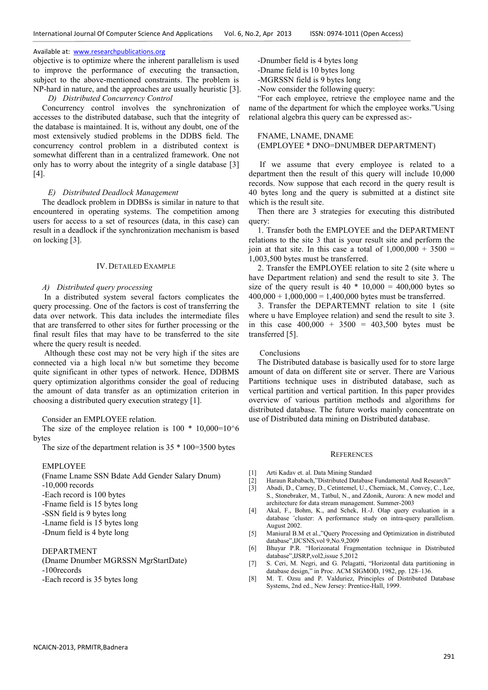## Available at: www.researchpublications.org

objective is to optimize where the inherent parallelism is used to improve the performance of executing the transaction, subject to the above-mentioned constraints. The problem is NP-hard in nature, and the approaches are usually heuristic [3].

## *D) Distributed Concurrency Control*

Concurrency control involves the synchronization of accesses to the distributed database, such that the integrity of the database is maintained. It is, without any doubt, one of the most extensively studied problems in the DDBS field. The concurrency control problem in a distributed context is somewhat different than in a centralized framework. One not only has to worry about the integrity of a single database [3] [4].

### *E) Distributed Deadlock Management*

The deadlock problem in DDBSs is similar in nature to that encountered in operating systems. The competition among users for access to a set of resources (data, in this case) can result in a deadlock if the synchronization mechanism is based on locking [3].

## IV.DETAILED EXAMPLE

## *A) Distributed query processing*

 In a distributed system several factors complicates the query processing. One of the factors is cost of transferring the data over network. This data includes the intermediate files that are transferred to other sites for further processing or the final result files that may have to be transferred to the site where the query result is needed.

 Although these cost may not be very high if the sites are connected via a high local n/w but sometime they become quite significant in other types of network. Hence, DDBMS query optimization algorithms consider the goal of reducing the amount of data transfer as an optimization criterion in choosing a distributed query execution strategy [1].

Consider an EMPLOYEE relation.

The size of the employee relation is  $100 * 10,000=10<sup>6</sup>$ bytes

The size of the department relation is 35 \* 100=3500 bytes

#### EMPLOYEE

(Fname Lname SSN Bdate Add Gender Salary Dnum) -10,000 records -Each record is 100 bytes -Fname field is 15 bytes long

-SSN field is 9 bytes long

-Lname field is 15 bytes long

-Dnum field is 4 byte long

## DEPARTMENT

(Dname Dnumber MGRSSN MgrStartDate) -100records -Each record is 35 bytes long

- -Dnumber field is 4 bytes long
- -Dname field is 10 bytes long
- -MGRSSN field is 9 bytes long
- -Now consider the following query:

"For each employee, retrieve the employee name and the name of the department for which the employee works."Using relational algebra this query can be expressed as:-

## FNAME, LNAME, DNAME (EMPLOYEE \* DNO=DNUMBER DEPARTMENT)

 If we assume that every employee is related to a department then the result of this query will include 10,000 records. Now suppose that each record in the query result is 40 bytes long and the query is submitted at a distinct site which is the result site.

Then there are 3 strategies for executing this distributed query:

1. Transfer both the EMPLOYEE and the DEPARTMENT relations to the site 3 that is your result site and perform the join at that site. In this case a total of  $1,000,000 + 3500 =$ 1,003,500 bytes must be transferred.

2. Transfer the EMPLOYEE relation to site 2 (site where u have Department relation) and send the result to site 3. The size of the query result is  $40 * 10,000 = 400,000$  bytes so  $400,000 + 1,000,000 = 1,400,000$  bytes must be transferred.

3. Transfer the DEPARTEMNT relation to site 1 (site where u have Employee relation) and send the result to site 3. in this case  $400,000 + 3500 = 403,500$  bytes must be transferred [5].

## Conclusions

The Distributed database is basically used for to store large amount of data on different site or server. There are Various Partitions technique uses in distributed database, such as vertical partition and vertical partition. In this paper provides overview of various partition methods and algorithms for distributed database. The future works mainly concentrate on use of Distributed data mining on Distributed database.

#### **REFERENCES**

- [1] Arti Kadav et. al. Data Mining Standard
- [2] Haraun Rababach,"Distributed Database Fundamental And Research"
- [3] Abadi, D., Carney, D., Cetintemel, U., Cherniack, M., Convey, C., Lee, S., Stonebraker, M., Tatbul, N., and Zdonik, Aurora: A new model and architecture for data stream management. Summer-2003
- [4] Akal, F., Bohm, K., and Schek, H.-J. Olap query evaluation in a database ¨cluster: A performance study on intra-query parallelism. August 2002.
- [5] Maniural B.M et al.,"Query Processing and Optimization in distributed database",IJCSNS,vol 9,No.9,2009
- [6] Bhuyar P.R. "Horizonatal Fragmentation technique in Distributed database",IJSRP,vol2,issue 5,2012
- [7] S. Ceri, M. Negri, and G. Pelagatti, "Horizontal data partitioning in database design," in Proc. ACM SIGMOD, 1982, pp. 128–136.
- [8] M. T. Ozsu and P. Valduriez, Principles of Distributed Database Systems, 2nd ed., New Jersey: Prentice-Hall, 1999.